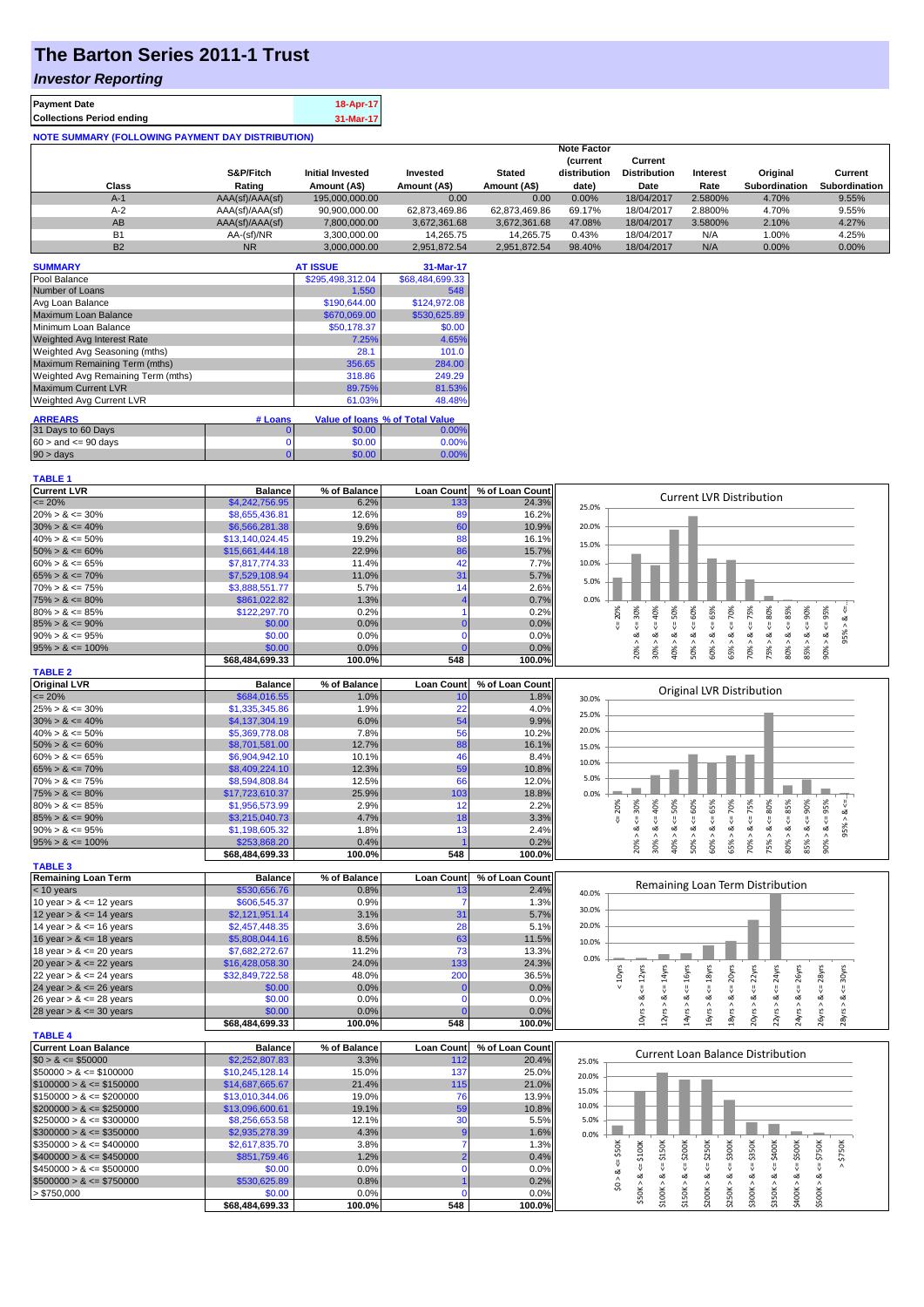# **The Barton Series 2011-1 Trust**

## *Investor Reporting*

| <b>Payment Date</b>                                      | 18-Apr-17 |
|----------------------------------------------------------|-----------|
| <b>Collections Period ending</b>                         | 31-Mar-17 |
| <b>NOTE SUMMARY (FOLLOWING PAYMENT DAY DISTRIBUTION)</b> |           |

|           |                 |                         |               |               | <b>Note Factor</b> |                     |          |                      |                      |
|-----------|-----------------|-------------------------|---------------|---------------|--------------------|---------------------|----------|----------------------|----------------------|
|           |                 |                         |               |               | <b>Current</b>     | Current             |          |                      |                      |
|           | S&P/Fitch       | <b>Initial Invested</b> | Invested      | <b>Stated</b> | distribution       | <b>Distribution</b> | Interest | Original             | Current              |
| Class     | Rating          | Amount (A\$)            | Amount (A\$)  | Amount (A\$)  | date)              | Date                | Rate     | <b>Subordination</b> | <b>Subordination</b> |
| $A-1$     | AAA(sf)/AAA(sf) | 195,000,000,00          | 0.00          | 0.00          | $0.00\%$           | 18/04/2017          | 2.5800%  | 4.70%                | 9.55%                |
| $A-2$     | AAA(sf)/AAA(sf) | 90.900.000.00           | 62.873.469.86 | 62.873.469.86 | 69.17%             | 18/04/2017          | 2.8800%  | 4.70%                | 9.55%                |
| AB        | AAA(sf)/AAA(sf) | 7,800,000.00            | 3,672,361.68  | 3,672,361.68  | 47.08%             | 18/04/2017          | 3.5800%  | 2.10%                | 4.27%                |
| <b>B1</b> | AA-(sf)/NR      | 3.300.000.00            | 14.265.75     | 14.265.75     | 0.43%              | 18/04/2017          | N/A      | 1.00%                | 4.25%                |
| <b>B2</b> | <b>NR</b>       | 3.000.000.00            | 2.951.872.54  | 2.951.872.54  | 98.40%             | 18/04/2017          | N/A      | 0.00%                | $0.00\%$             |

| <b>SUMMARY</b>                     |         | <b>AT ISSUE</b>  | 31-Mar-17                              |
|------------------------------------|---------|------------------|----------------------------------------|
| Pool Balance                       |         | \$295,498,312.04 | \$68,484,699.33                        |
| Number of Loans                    |         | 1,550            | 548                                    |
| Avg Loan Balance                   |         | \$190,644.00     | \$124,972.08                           |
| Maximum Loan Balance               |         | \$670,069.00     | \$530,625.89                           |
| Minimum Loan Balance               |         | \$50,178.37      | \$0.00                                 |
| <b>Weighted Avg Interest Rate</b>  |         | 7.25%            | 4.65%                                  |
| Weighted Avg Seasoning (mths)      |         | 28.1             | 101.0                                  |
| Maximum Remaining Term (mths)      |         | 356.65           | 284.00                                 |
| Weighted Avg Remaining Term (mths) |         | 318.86           | 249.29                                 |
| <b>Maximum Current LVR</b>         |         | 89.75%           | 81.53%                                 |
| <b>Weighted Avg Current LVR</b>    |         | 61.03%           | 48.48%                                 |
| <b>ARREARS</b>                     | # Loans |                  | <b>Value of loans % of Total Value</b> |
| 31 Days to 60 Days                 | 0       | \$0.00           | 0.00%                                  |
| $60 >$ and $\leq 90$ days          | 0       | \$0.00           | 0.00%                                  |
| 90 > days                          | 0       | \$0.00           | 0.00%                                  |

#### **TABLE 1**

**TABLE 4**

| <b>Current LVR</b>   | <b>Balance</b>             | % of Balance  | <b>Loan Count</b> | % of Loan Count | <b>Current LVR Distribution</b>                                                                     |
|----------------------|----------------------------|---------------|-------------------|-----------------|-----------------------------------------------------------------------------------------------------|
| $\leq$ 20%           | \$4,242,756.95             | 6.2%          | 133               | 24.3%           | 25.0%                                                                                               |
| $20\% > 8 \le 30\%$  | \$8,655,436.81             | 12.6%         | 89                | 16.2%           |                                                                                                     |
| $30\% > 8 \le 40\%$  | \$6,566,281.38             | 9.6%          | 60                | 10.9%           | 20.0%                                                                                               |
| $40\% > 8 \le 50\%$  | \$13,140,024.45            | 19.2%         | 88                | 16.1%           | 15.0%                                                                                               |
| $50\% > 8 \le 60\%$  | \$15,661,444.18            | 22.9%         | 86                | 15.7%           |                                                                                                     |
| $60\% > 8 \le 65\%$  | \$7,817,774.33             | 11.4%         | 42                | 7.7%            | 10.0%                                                                                               |
| $65\% > 8 \le 70\%$  | \$7,529,108.94             | 11.0%         | 31                | 5.7%            | 5.0%                                                                                                |
| $70\% > 8 \le 75\%$  | \$3.888.551.77             | 5.7%          | 14                | 2.6%            |                                                                                                     |
| $75\% > 8 \le 80\%$  | \$861,022.82               | 1.3%          |                   | 0.7%            | 0.0%                                                                                                |
| $80\% > 8 \le 85\%$  | \$122,297.70               | 0.2%          |                   | 0.2%            | 30%<br>40%<br>75%<br>90%<br>95%<br>60%<br>65%<br>80%<br>85%<br>50%<br>70%<br>20%                    |
| $85\% > 8 \le 90\%$  | \$0.00                     | 0.0%          |                   | 0.0%            |                                                                                                     |
| $90\% > 8 \le 95\%$  | \$0.00                     | 0.0%          |                   | 0.0%            | 5%<br>οŽ<br>$\infty$<br>οX<br>۵X<br>ەە<br>62<br>٨<br>$\lambda$<br>$\lambda$<br>$\sigma$<br>$\wedge$ |
| $95\% > 8 \le 100\%$ | \$0.00                     | 0.0%          |                   | 0.0%            | 20%<br>50%<br>70%<br>75%<br>85%<br>30%<br>40%<br>90%<br>60%<br>65%<br>80%                           |
|                      | \$68,484,699.33            | 100.0%        | 548               | 100.0%          |                                                                                                     |
| <b>TABLE 2</b>       |                            |               |                   |                 |                                                                                                     |
| <b>Original LVR</b>  | <b>Balance</b>             | % of Balance  | <b>Loan Count</b> | % of Loan Count | <b>Original LVR Distribution</b>                                                                    |
| $\leq$ 20%           | \$684.016.55               | 1.0%          | 10                | 1.8%            | 30.0%                                                                                               |
| $25\% > 8 \le 30\%$  | \$1,335,345.86             | 1.9%          | 22                | 4.0%            | 25.0%                                                                                               |
| $30\% > 8 \le 40\%$  | \$4,137,304.19             | 6.0%          | 54                | 9.9%            |                                                                                                     |
| $40\% > 8 \le 50\%$  | \$5,369,778.08             | 7.8%          | 56                | 10.2%           | 20.0%                                                                                               |
| $50\% > 8 \le 60\%$  | \$8,701,581.00             | 12.7%         | 88                | 16.1%           | 15.0%                                                                                               |
| $60\% > 8 \le 65\%$  | \$6,904,942.10             | 10.1%         | 46                | 8.4%            | 10.0%                                                                                               |
| $65\% > 8 \le 70\%$  | \$8,409,224.10             | 12.3%         | 59                | 10.8%           |                                                                                                     |
| $70\% > 8 \le 75\%$  | \$8,594,808.84             | 12.5%         | 66                | 12.0%           | 5.0%                                                                                                |
| $75\% > 8 \le 80\%$  | \$17,723,610.37            | 25.9%         | 103               | 18.8%           | 0.0%                                                                                                |
| $80\% > 8 \le 85\%$  | \$1,956,573.99             | 2.9%          | 12                | 2.2%            | 75%<br>60%<br>65%<br>80%<br>90%<br>95%<br>30%<br>70%<br>40%<br>50%<br>85%<br>20%                    |
| $85\% > 8 \le 90\%$  | \$3,215,040.73             | 4.7%          | 18                | 3.3%            |                                                                                                     |
|                      |                            |               |                   |                 |                                                                                                     |
| $90\% > 8 \le 95\%$  | \$1,198,605.32             | 1.8%          | 13                | 2.4%            | οŽ<br>οð<br>œ                                                                                       |
| $95\% > 8 \le 100\%$ | \$253,868.20<br>0.00100000 | 0.4%<br>0.000 | <b>E40</b>        | 0.2%<br>100.001 | $\wedge$<br>70%<br>85%<br>30%<br>40%<br>50%<br>20%<br>60%<br>65%<br>75%<br>80%<br>90%               |

|                            | \$68,484,699.33 | 100.0%       | 548               | $100.0\%$       | $\sim$ | $\sim$                           | $\sim$ | $\sim$ |  |  |
|----------------------------|-----------------|--------------|-------------------|-----------------|--------|----------------------------------|--------|--------|--|--|
| <b>TABLE 3</b>             |                 |              |                   |                 |        |                                  |        |        |  |  |
| <b>Remaining Loan Term</b> | <b>Balance</b>  | % of Balance | <b>Loan Count</b> | % of Loan Count |        |                                  |        |        |  |  |
| $< 10$ years               | \$530,656.76    | 0.8%         |                   | $2.4\%$         | 40.0%  | Remaining Loan Term Distribution |        |        |  |  |
| 10 year $> 8 \le 12$ years | \$606,545.37    | 0.9%         |                   | 1.3%            |        |                                  |        |        |  |  |
| 12 year $> 8 \le 14$ years | \$2,121,951.14  | 3.1%         | 31                | 5.7%            | 30.0%  |                                  |        |        |  |  |
| 14 year $> 8 \le 16$ years | \$2,457,448.35  | 3.6%         | 28                | 5.1%            | 20.0%  |                                  |        |        |  |  |
| 16 year $> 8 \le 18$ years | \$5,808,044.16  | 8.5%         | 63                | 11.5%           | 10.0%  |                                  |        |        |  |  |
| 18 year $> 8 \le 20$ years | \$7.682.272.67  | 11.2%        | 73                | 13.3%           |        |                                  |        |        |  |  |
| 20 year $> 8 \le 22$ years | \$16,428,058.30 | 24.0%        | 133               | 24.3%           | 0.0%   |                                  |        |        |  |  |
| 22 year $> 8 \le 24$ years | \$32,849,722.58 | 48.0%        | 200               | 36.5%           |        | ŵ٥                               |        |        |  |  |
| 24 year $> 8 \le 26$ years | \$0.00          | 0.0%         |                   | $0.0\%$         |        |                                  |        |        |  |  |
| 26 year $> 8 \le 28$ years | \$0.00          | 0.0%         |                   | $0.0\%$         |        |                                  |        |        |  |  |
| 28 year $> 8 \le 30$ years | \$0.00          | 0.0%         |                   | $0.0\%$         |        |                                  |        |        |  |  |
|                            | \$68,484,699.33 | 100.0%       | 548               | 100.0%          |        |                                  |        |        |  |  |

| I ABLE 4                     |                 |              |              |                   |       |  |   |   |        |   |                                          |           |  |
|------------------------------|-----------------|--------------|--------------|-------------------|-------|--|---|---|--------|---|------------------------------------------|-----------|--|
| Current Loan Balance         | <b>Balance</b>  | % of Balance | Loan Count I | % of Loan Count I |       |  |   |   |        |   | <b>Current Loan Balance Distribution</b> |           |  |
| $$0 > 8 \leq $50000$         | \$2,252,807.83  | 3.3%         | 112          | 20.4%             | 25.0% |  |   |   |        |   |                                          |           |  |
| $\$50000 > 8 \leq \$100000$  | \$10,245,128,14 | 15.0%        | 137          | 25.0%             | 20.0% |  |   |   |        |   |                                          |           |  |
| $$100000 > 8 \leq $150000$   | \$14,687,665,67 | 21.4%        | 115          | 21.0%             |       |  |   |   |        |   |                                          |           |  |
| $\$150000 > 8 \leq \$200000$ | \$13,010,344.06 | 19.0%        | 76           | 13.9%             | 15.0% |  |   |   |        |   |                                          |           |  |
| $$200000 > 8 \leq $250000$   | \$13,096,600.61 | 19.1%        | 59           | 10.8%             | 10.0% |  |   |   |        |   |                                          |           |  |
| $$250000 > 8 \leq $300000$   | \$8,256,653.58  | 12.1%        | 30           | 5.5%              | 5.0%  |  |   |   |        |   |                                          |           |  |
| $\$300000 > 8 \leq \$350000$ | \$2,935,278.39  | 4.3%         |              | 1.6%              | 0.0%  |  |   |   |        |   |                                          |           |  |
| $\$350000 > 8 \leq \$400000$ | \$2,617,835.70  | 3.8%         |              | 1.3%              |       |  | c | ă | 5300K  | š |                                          | 50K       |  |
| $$400000 > 8 \leq $450000$   | \$851,759.46    | 1.2%         |              | 0.4%              |       |  |   |   |        |   |                                          | $\lambda$ |  |
| $\$450000 > 8 \leq \$500000$ | \$0.00          | 0.0%         |              | 0.0%              |       |  |   |   |        |   |                                          |           |  |
| $$500000 > 8 \le $750000$    | \$530,625,89    | 0.8%         |              | 0.2%              |       |  |   |   | οð     | ∞ |                                          |           |  |
| > \$750,000                  | \$0.00          | 0.0%         |              | 0.0%              |       |  |   |   |        |   |                                          |           |  |
|                              | \$68,484,699,33 | 100.0%       | 548          | 100.0%            |       |  |   |   | $\sim$ |   |                                          |           |  |